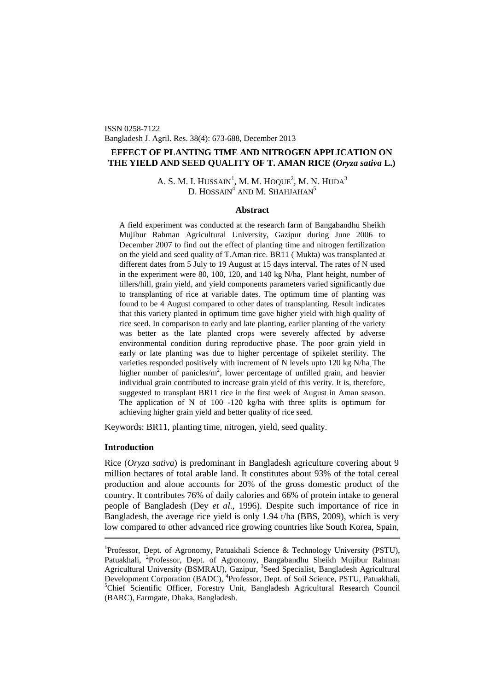ISSN 0258-7122 Bangladesh J. Agril. Res. 38(4): 673-688, December 2013

# **EFFECT OF PLANTING TIME AND NITROGEN APPLICATION ON THE YIELD AND SEED QUALITY OF T. AMAN RICE (***Oryza sativa* **L.)**

A. S. M. I. HUSSAIN $^1$  $^1$ , M. M. HOQUE $^2$ , M. N. HUDA $^3$ D. HOSSAIN<sup>4</sup> AND M. SHAHJAHAN<sup>5</sup>

## **Abstract**

A field experiment was conducted at the research farm of Bangabandhu Sheikh Mujibur Rahman Agricultural University, Gazipur during June 2006 to December 2007 to find out the effect of planting time and nitrogen fertilization on the yield and seed quality of T.Aman rice. BR11 ( Mukta) was transplanted at different dates from 5 July to 19 August at 15 days interval. The rates of N used in the experiment were 80, 100, 120, and 140 kg N/ha, Plant height, number of tillers/hill, grain yield, and yield components parameters varied significantly due to transplanting of rice at variable dates. The optimum time of planting was found to be 4 August compared to other dates of transplanting. Result indicates that this variety planted in optimum time gave higher yield with high quality of rice seed. In comparison to early and late planting, earlier planting of the variety was better as the late planted crops were severely affected by adverse environmental condition during reproductive phase. The poor grain yield in early or late planting was due to higher percentage of spikelet sterility. The varieties responded positively with increment of N levels upto 120 kg N/ha. The higher number of panicles/ $m^2$ , lower percentage of unfilled grain, and heavier individual grain contributed to increase grain yield of this verity. It is, therefore, suggested to transplant BR11 rice in the first week of August in Aman season. The application of N of 100 -120 kg/ha with three splits is optimum for achieving higher grain yield and better quality of rice seed.

Keywords: BR11, planting time, nitrogen, yield, seed quality.

## **Introduction**

Rice (*Oryza sativa*) is predominant in Bangladesh agriculture covering about 9 million hectares of total arable land. It constitutes about 93% of the total cereal production and alone accounts for 20% of the gross domestic product of the country. It contributes 76% of daily calories and 66% of protein intake to general people of Bangladesh (Dey *et al*., 1996). Despite such importance of rice in Bangladesh, the average rice yield is only 1.94 t/ha (BBS, 2009), which is very low compared to other advanced rice growing countries like South Korea, Spain,

<span id="page-0-0"></span><sup>&</sup>lt;sup>1</sup>Professor, Dept. of Agronomy, Patuakhali Science & Technology University (PSTU), Patuakhali, <sup>2</sup>Professor, Dept. of Agronomy, Bangabandhu Sheikh Mujibur Rahman Agricultural University (BSMRAU), Gazipur, <sup>3</sup>Seed Specialist, Bangladesh Agricultural Development Corporation (BADC), <sup>4</sup>Professor, Dept. of Soil Science, PSTU, Patuakhali, <sup>5</sup>Chief Scientific Officer, Forestry Unit, Bangladesh Agricultural Research Council (BARC), Farmgate, Dhaka, Bangladesh.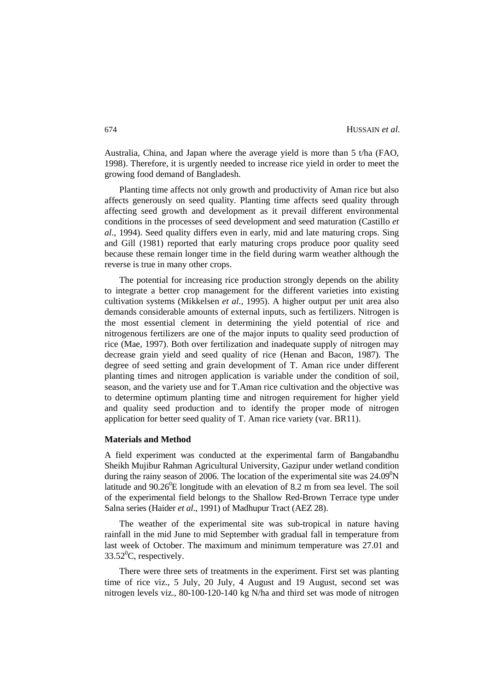Australia, China, and Japan where the average yield is more than 5 t/ha (FAO, 1998). Therefore, it is urgently needed to increase rice yield in order to meet the growing food demand of Bangladesh.

Planting time affects not only growth and productivity of Aman rice but also affects generously on seed quality. Planting time affects seed quality through affecting seed growth and development as it prevail different environmental conditions in the processes of seed development and seed maturation (Castillo *et al*., 1994). Seed quality differs even in early, mid and late maturing crops. Sing and Gill (1981) reported that early maturing crops produce poor quality seed because these remain longer time in the field during warm weather although the reverse is true in many other crops.

The potential for increasing rice production strongly depends on the ability to integrate a better crop management for the different varieties into existing cultivation systems (Mikkelsen *et al.,* 1995). A higher output per unit area also demands considerable amounts of external inputs, such as fertilizers. Nitrogen is the most essential clement in determining the yield potential of rice and nitrogenous fertilizers are one of the major inputs to quality seed production of rice (Mae, 1997). Both over fertilization and inadequate supply of nitrogen may decrease grain yield and seed quality of rice (Henan and Bacon, 1987). The degree of seed setting and grain development of T. Aman rice under different planting times and nitrogen application is variable under the condition of soil, season, and the variety use and for T.Aman rice cultivation and the objective was to determine optimum planting time and nitrogen requirement for higher yield and quality seed production and to identify the proper mode of nitrogen application for better seed quality of T. Aman rice variety (var. BR11).

### **Materials and Method**

A field experiment was conducted at the experimental farm of Bangabandhu Sheikh Mujibur Rahman Agricultural University, Gazipur under wetland condition during the rainy season of 2006. The location of the experimental site was  $24.09^{\circ}N$ latitude and  $90.26^{\circ}E$  longitude with an elevation of 8.2 m from sea level. The soil of the experimental field belongs to the Shallow Red-Brown Terrace type under Salna series (Haider *et al*., 1991) of Madhupur Tract (AEZ 28).

The weather of the experimental site was sub-tropical in nature having rainfall in the mid June to mid September with gradual fall in temperature from last week of October. The maximum and minimum temperature was 27.01 and  $33.52^0$ C, respectively.

There were three sets of treatments in the experiment. First set was planting time of rice viz., 5 July, 20 July, 4 August and 19 August, second set was nitrogen levels viz., 80-100-120-140 kg N/ha and third set was mode of nitrogen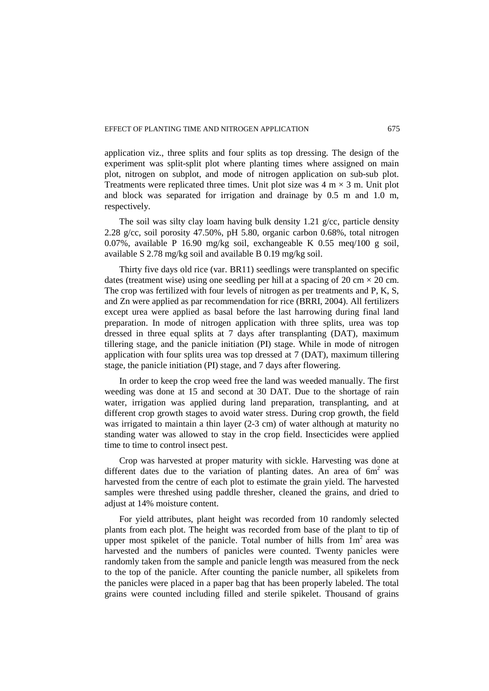application viz., three splits and four splits as top dressing. The design of the experiment was split-split plot where planting times where assigned on main plot, nitrogen on subplot, and mode of nitrogen application on sub-sub plot. Treatments were replicated three times. Unit plot size was  $4 \text{ m} \times 3 \text{ m}$ . Unit plot and block was separated for irrigation and drainage by 0.5 m and 1.0 m, respectively.

The soil was silty clay loam having bulk density 1.21 g/cc, particle density 2.28 g/cc, soil porosity 47.50%, pH 5.80, organic carbon 0.68%, total nitrogen 0.07%, available P 16.90 mg/kg soil, exchangeable K 0.55 meq/100 g soil, available S 2.78 mg/kg soil and available B 0.19 mg/kg soil.

Thirty five days old rice (var. BR11) seedlings were transplanted on specific dates (treatment wise) using one seedling per hill at a spacing of 20 cm  $\times$  20 cm. The crop was fertilized with four levels of nitrogen as per treatments and P, K, S, and Zn were applied as par recommendation for rice (BRRI, 2004). All fertilizers except urea were applied as basal before the last harrowing during final land preparation. In mode of nitrogen application with three splits, urea was top dressed in three equal splits at 7 days after transplanting (DAT), maximum tillering stage, and the panicle initiation (PI) stage. While in mode of nitrogen application with four splits urea was top dressed at 7 (DAT), maximum tillering stage, the panicle initiation (PI) stage, and 7 days after flowering.

In order to keep the crop weed free the land was weeded manually. The first weeding was done at 15 and second at 30 DAT. Due to the shortage of rain water, irrigation was applied during land preparation, transplanting, and at different crop growth stages to avoid water stress. During crop growth, the field was irrigated to maintain a thin layer (2-3 cm) of water although at maturity no standing water was allowed to stay in the crop field. Insecticides were applied time to time to control insect pest.

Crop was harvested at proper maturity with sickle. Harvesting was done at different dates due to the variation of planting dates. An area of  $6m<sup>2</sup>$  was harvested from the centre of each plot to estimate the grain yield. The harvested samples were threshed using paddle thresher, cleaned the grains, and dried to adjust at 14% moisture content.

For yield attributes, plant height was recorded from 10 randomly selected plants from each plot. The height was recorded from base of the plant to tip of upper most spikelet of the panicle. Total number of hills from  $1m<sup>2</sup>$  area was harvested and the numbers of panicles were counted. Twenty panicles were randomly taken from the sample and panicle length was measured from the neck to the top of the panicle. After counting the panicle number, all spikelets from the panicles were placed in a paper bag that has been properly labeled. The total grains were counted including filled and sterile spikelet. Thousand of grains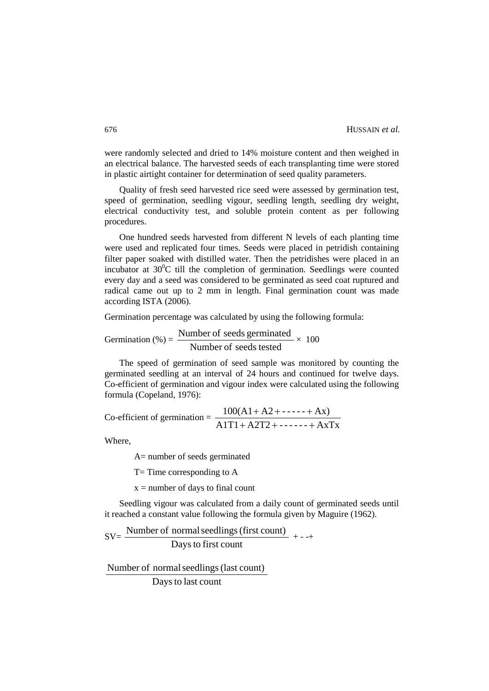were randomly selected and dried to 14% moisture content and then weighed in an electrical balance. The harvested seeds of each transplanting time were stored in plastic airtight container for determination of seed quality parameters.

Quality of fresh seed harvested rice seed were assessed by germination test, speed of germination, seedling vigour, seedling length, seedling dry weight, electrical conductivity test, and soluble protein content as per following procedures.

One hundred seeds harvested from different N levels of each planting time were used and replicated four times. Seeds were placed in petridish containing filter paper soaked with distilled water. Then the petridishes were placed in an incubator at  $30^0C$  till the completion of germination. Seedlings were counted every day and a seed was considered to be germinated as seed coat ruptured and radical came out up to 2 mm in length. Final germination count was made according ISTA (2006).

Germination percentage was calculated by using the following formula:

$$
Germanation (\%) = \frac{Number of seeds germinated}{Number of seeds tested} \times 100
$$

The speed of germination of seed sample was monitored by counting the germinated seedling at an interval of 24 hours and continued for twelve days. Co-efficient of germination and vigour index were calculated using the following formula (Copeland, 1976):

$$
Co\text{-efficient of germination} = \frac{100(A1 + A2 + \dots + Ax)}{A1T1 + A2T2 + \dots + AxTx}
$$

Where,

A= number of seeds germinated

 $T=$  Time corresponding to A

 $x =$  number of days to final count

Seedling vigour was calculated from a daily count of germinated seeds until it reached a constant value following the formula given by Maguire (1962).

 $SV = \frac{\text{Number of normal seedlings (first count)}}{\sum_{n=1}^{\infty} \frac{1}{n} + \cdots}$ Days to first count

Number of normalseedlings(last count)

Days to last count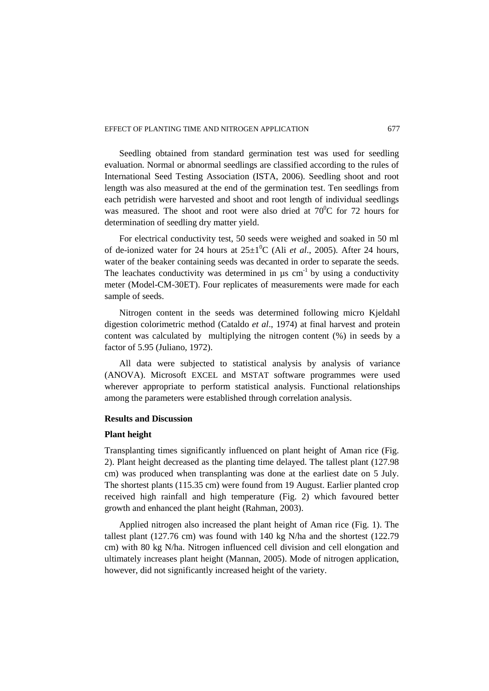#### EFFECT OF PLANTING TIME AND NITROGEN APPLICATION 677

Seedling obtained from standard germination test was used for seedling evaluation. Normal or abnormal seedlings are classified according to the rules of International Seed Testing Association (ISTA, 2006). Seedling shoot and root length was also measured at the end of the germination test. Ten seedlings from each petridish were harvested and shoot and root length of individual seedlings was measured. The shoot and root were also dried at  $70^{\circ}$ C for 72 hours for determination of seedling dry matter yield.

For electrical conductivity test, 50 seeds were weighed and soaked in 50 ml of de-ionized water for 24 hours at  $25\pm1$ <sup>0</sup>C (Ali *et al.*, 2005). After 24 hours, water of the beaker containing seeds was decanted in order to separate the seeds. The leachates conductivity was determined in  $\mu$ s cm<sup>-1</sup> by using a conductivity meter (Model-CM-30ET). Four replicates of measurements were made for each sample of seeds.

Nitrogen content in the seeds was determined following micro Kjeldahl digestion colorimetric method (Cataldo *et al*., 1974) at final harvest and protein content was calculated by multiplying the nitrogen content (%) in seeds by a factor of 5.95 (Juliano, 1972).

All data were subjected to statistical analysis by analysis of variance (ANOVA). Microsoft EXCEL and MSTAT software programmes were used wherever appropriate to perform statistical analysis. Functional relationships among the parameters were established through correlation analysis.

### **Results and Discussion**

#### **Plant height**

Transplanting times significantly influenced on plant height of Aman rice (Fig. 2). Plant height decreased as the planting time delayed. The tallest plant (127.98 cm) was produced when transplanting was done at the earliest date on 5 July. The shortest plants (115.35 cm) were found from 19 August. Earlier planted crop received high rainfall and high temperature (Fig. 2) which favoured better growth and enhanced the plant height (Rahman, 2003).

Applied nitrogen also increased the plant height of Aman rice (Fig. 1). The tallest plant (127.76 cm) was found with 140 kg N/ha and the shortest (122.79 cm) with 80 kg N/ha. Nitrogen influenced cell division and cell elongation and ultimately increases plant height (Mannan, 2005). Mode of nitrogen application, however, did not significantly increased height of the variety.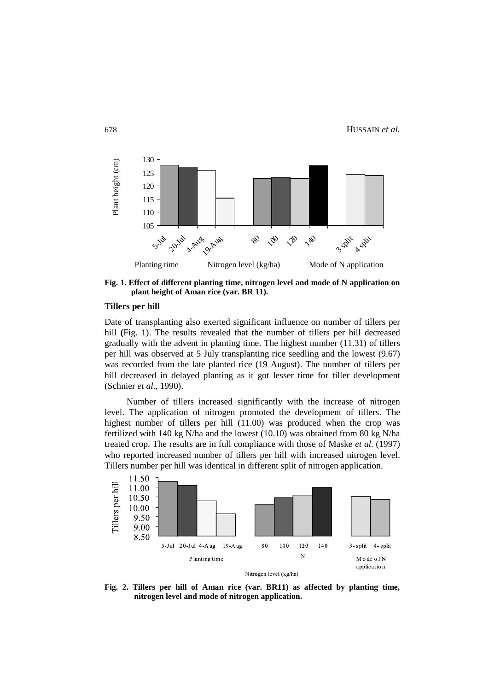

**Fig. 1. Effect of different planting time, nitrogen level and mode of N application on plant height of Aman rice (var. BR 11).**

#### **Tillers per hill**

Date of transplanting also exerted significant influence on number of tillers per hill **(**Fig. 1). The results revealed that the number of tillers per hill decreased gradually with the advent in planting time. The highest number (11.31) of tillers per hill was observed at 5 July transplanting rice seedling and the lowest (9.67) was recorded from the late planted rice (19 August). The number of tillers per hill decreased in delayed planting as it got lesser time for tiller development (Schnier *et al*., 1990).

Number of tillers increased significantly with the increase of nitrogen level. The application of nitrogen promoted the development of tillers. The highest number of tillers per hill (11.00) was produced when the crop was fertilized with 140 kg N/ha and the lowest (10.10) was obtained from 80 kg N/ha treated crop. The results are in full compliance with those of Maske *et al.* (1997) who reported increased number of tillers per hill with increased nitrogen level. Tillers number per hill was identical in different split of nitrogen application.



**Fig. 2. Tillers per hill of Aman rice (var. BR11) as affected by planting time, nitrogen level and mode of nitrogen application.**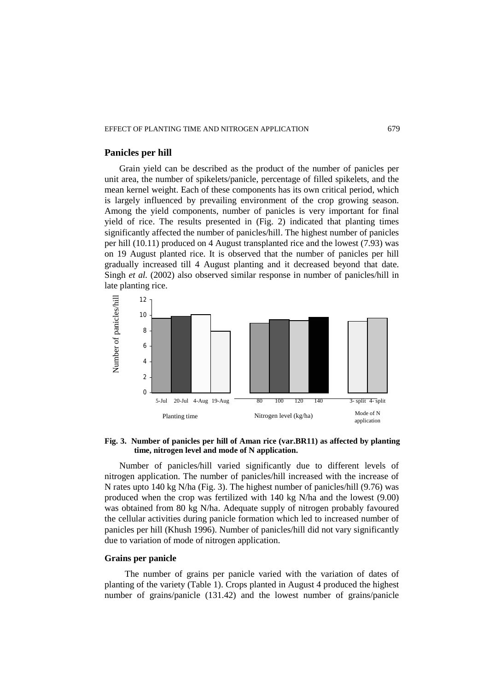## **Panicles per hill**

Grain yield can be described as the product of the number of panicles per unit area, the number of spikelets/panicle, percentage of filled spikelets, and the mean kernel weight. Each of these components has its own critical period, which is largely influenced by prevailing environment of the crop growing season. Among the yield components, number of panicles is very important for final yield of rice. The results presented in (Fig. 2) indicated that planting times significantly affected the number of panicles/hill. The highest number of panicles per hill (10.11) produced on 4 August transplanted rice and the lowest (7.93) was on 19 August planted rice. It is observed that the number of panicles per hill gradually increased till 4 August planting and it decreased beyond that date. Singh *et al.* (2002) also observed similar response in number of panicles/hill in late planting rice.



## **Fig. 3. Number of panicles per hill of Aman rice (var.BR11) as affected by planting time, nitrogen level and mode of N application.**

Number of panicles/hill varied significantly due to different levels of nitrogen application. The number of panicles/hill increased with the increase of N rates upto 140 kg N/ha (Fig. 3). The highest number of panicles/hill (9.76) was produced when the crop was fertilized with 140 kg N/ha and the lowest (9.00) was obtained from 80 kg N/ha. Adequate supply of nitrogen probably favoured the cellular activities during panicle formation which led to increased number of panicles per hill (Khush 1996). Number of panicles/hill did not vary significantly due to variation of mode of nitrogen application.

## **Grains per panicle**

 The number of grains per panicle varied with the variation of dates of planting of the variety (Table 1). Crops planted in August 4 produced the highest number of grains/panicle (131.42) and the lowest number of grains/panicle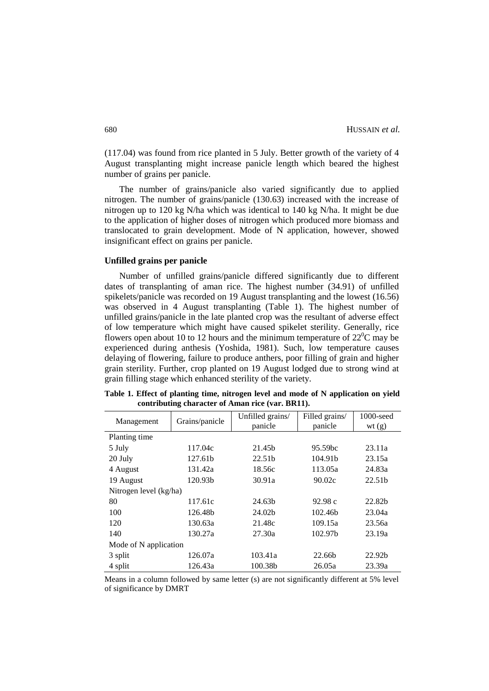(117.04) was found from rice planted in 5 July. Better growth of the variety of 4 August transplanting might increase panicle length which beared the highest number of grains per panicle.

The number of grains/panicle also varied significantly due to applied nitrogen. The number of grains/panicle (130.63) increased with the increase of nitrogen up to 120 kg N/ha which was identical to 140 kg N/ha. It might be due to the application of higher doses of nitrogen which produced more biomass and translocated to grain development. Mode of N application, however, showed insignificant effect on grains per panicle.

### **Unfilled grains per panicle**

Number of unfilled grains/panicle differed significantly due to different dates of transplanting of aman rice. The highest number (34.91) of unfilled spikelets/panicle was recorded on 19 August transplanting and the lowest (16.56) was observed in 4 August transplanting (Table 1). The highest number of unfilled grains/panicle in the late planted crop was the resultant of adverse effect of low temperature which might have caused spikelet sterility. Generally, rice flowers open about 10 to 12 hours and the minimum temperature of  $22^{\circ}$ C may be experienced during anthesis (Yoshida, 1981). Such, low temperature causes delaying of flowering, failure to produce anthers, poor filling of grain and higher grain sterility. Further, crop planted on 19 August lodged due to strong wind at grain filling stage which enhanced sterility of the variety.

| Management             | Grains/panicle      | Unfilled grains/   | Filled grains/      | $1000$ -seed       |  |  |  |
|------------------------|---------------------|--------------------|---------------------|--------------------|--|--|--|
|                        |                     | panicle            | panicle             | wt(g)              |  |  |  |
| Planting time          |                     |                    |                     |                    |  |  |  |
| 5 July                 | 117.04c             | 21.45b             | 95.59bc             | 23.11a             |  |  |  |
| 20 July                | 127.61b             | 22.51b             | 104.91 <sub>b</sub> | 23.15a             |  |  |  |
| 4 August               | 131.42a             | 18.56c             | 113.05a             | 24.83a             |  |  |  |
| 19 August              | 120.93 <sub>b</sub> | 30.91a             | 90.02c              | 22.51 <sub>b</sub> |  |  |  |
| Nitrogen level (kg/ha) |                     |                    |                     |                    |  |  |  |
| 80                     | 117.61c             | 24.63b             | 92.98c              | 22.82b             |  |  |  |
| 100                    | 126.48b             | 24.02 <sub>b</sub> | 102.46 <sub>b</sub> | 23.04a             |  |  |  |
| 120                    | 130.63a             | 21.48c             | 109.15a             | 23.56a             |  |  |  |
| 140                    | 130.27a             | 27.30a             | 102.97b             | 23.19a             |  |  |  |
| Mode of N application  |                     |                    |                     |                    |  |  |  |
| 3 split                | 126.07a             | 103.41a            | 22.66b              | 22.92 <sub>b</sub> |  |  |  |
| 4 split                | 126.43a             | 100.38b            | 26.05a              | 23.39a             |  |  |  |

|  |                                                  |  |  |  | Table 1. Effect of planting time, nitrogen level and mode of N application on yield |  |
|--|--------------------------------------------------|--|--|--|-------------------------------------------------------------------------------------|--|
|  | contributing character of Aman rice (var. BR11). |  |  |  |                                                                                     |  |

Means in a column followed by same letter (s) are not significantly different at 5% level of significance by DMRT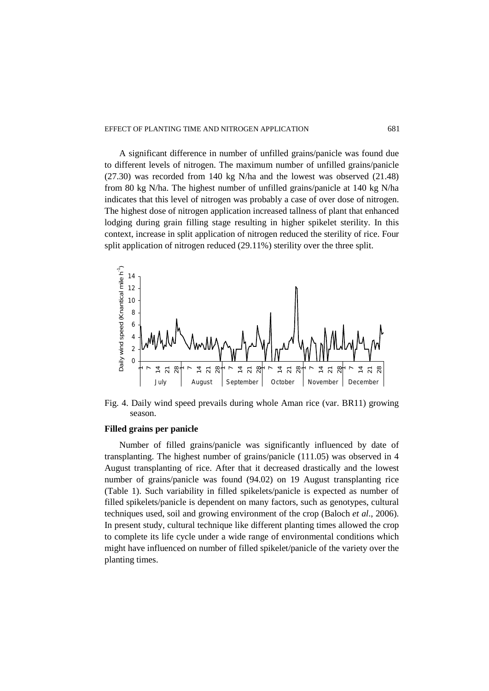A significant difference in number of unfilled grains/panicle was found due to different levels of nitrogen. The maximum number of unfilled grains/panicle (27.30) was recorded from 140 kg N/ha and the lowest was observed (21.48) from 80 kg N/ha. The highest number of unfilled grains/panicle at 140 kg N/ha indicates that this level of nitrogen was probably a case of over dose of nitrogen. The highest dose of nitrogen application increased tallness of plant that enhanced lodging during grain filling stage resulting in higher spikelet sterility. In this context, increase in split application of nitrogen reduced the sterility of rice. Four split application of nitrogen reduced (29.11%) sterility over the three split.



Fig. 4. Daily wind speed prevails during whole Aman rice (var. BR11) growing season.

## **Filled grains per panicle**

Number of filled grains/panicle was significantly influenced by date of transplanting. The highest number of grains/panicle (111.05) was observed in 4 August transplanting of rice. After that it decreased drastically and the lowest number of grains/panicle was found (94.02) on 19 August transplanting rice (Table 1). Such variability in filled spikelets/panicle is expected as number of filled spikelets/panicle is dependent on many factors, such as genotypes, cultural techniques used, soil and growing environment of the crop (Baloch *et al*., 2006). In present study, cultural technique like different planting times allowed the crop to complete its life cycle under a wide range of environmental conditions which might have influenced on number of filled spikelet/panicle of the variety over the planting times.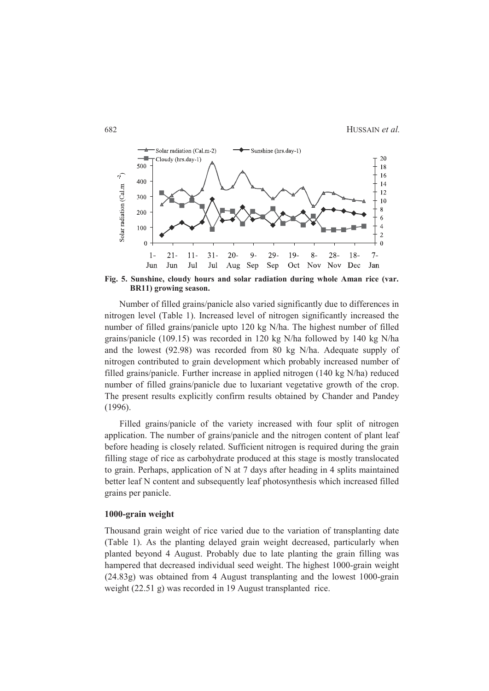

**Fig. 5. Sunshine, cloudy hours and solar radiation during whole Aman rice (var. BR11) growing season.**

Number of filled grains/panicle also varied significantly due to differences in nitrogen level (Table 1). Increased level of nitrogen significantly increased the number of filled grains/panicle upto 120 kg N/ha. The highest number of filled grains/panicle (109.15) was recorded in 120 kg N/ha followed by 140 kg N/ha and the lowest (92.98) was recorded from 80 kg N/ha. Adequate supply of nitrogen contributed to grain development which probably increased number of filled grains/panicle. Further increase in applied nitrogen (140 kg N/ha) reduced number of filled grains/panicle due to luxariant vegetative growth of the crop. The present results explicitly confirm results obtained by Chander and Pandey (1996).

Filled grains/panicle of the variety increased with four split of nitrogen application. The number of grains/panicle and the nitrogen content of plant leaf before heading is closely related. Sufficient nitrogen is required during the grain filling stage of rice as carbohydrate produced at this stage is mostly translocated to grain. Perhaps, application of N at 7 days after heading in 4 splits maintained better leaf N content and subsequently leaf photosynthesis which increased filled grains per panicle.

#### **1000-grain weight**

Thousand grain weight of rice varied due to the variation of transplanting date (Table 1). As the planting delayed grain weight decreased, particularly when planted beyond 4 August. Probably due to late planting the grain filling was hampered that decreased individual seed weight. The highest 1000-grain weight (24.83g) was obtained from 4 August transplanting and the lowest 1000-grain weight (22.51 g) was recorded in 19 August transplanted rice.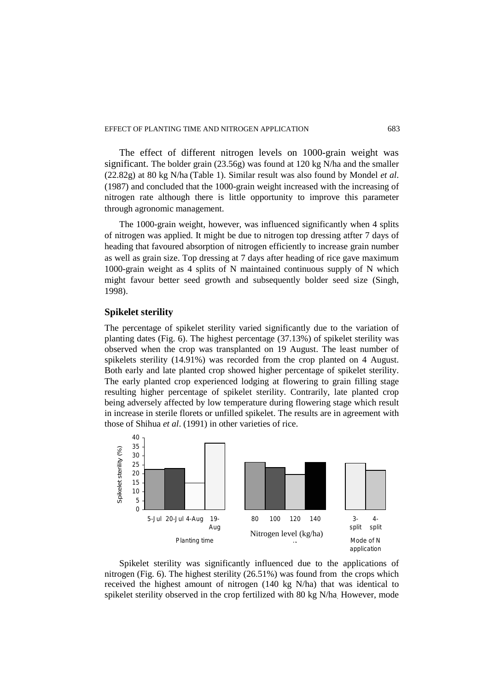The effect of different nitrogen levels on 1000-grain weight was significant. The bolder grain (23.56g) was found at 120 kg N/ha and the smaller (22.82g) at 80 kg N/ha (Table 1). Similar result was also found by Mondel *et al*. (1987) and concluded that the 1000-grain weight increased with the increasing of nitrogen rate although there is little opportunity to improve this parameter through agronomic management.

The 1000-grain weight, however, was influenced significantly when 4 splits of nitrogen was applied. It might be due to nitrogen top dressing atfter 7 days of heading that favoured absorption of nitrogen efficiently to increase grain number as well as grain size. Top dressing at 7 days after heading of rice gave maximum 1000-grain weight as 4 splits of N maintained continuous supply of N which might favour better seed growth and subsequently bolder seed size (Singh, 1998).

## **Spikelet sterility**

The percentage of spikelet sterility varied significantly due to the variation of planting dates (Fig. 6). The highest percentage (37.13%) of spikelet sterility was observed when the crop was transplanted on 19 August. The least number of spikelets sterility (14.91%) was recorded from the crop planted on 4 August. Both early and late planted crop showed higher percentage of spikelet sterility. The early planted crop experienced lodging at flowering to grain filling stage resulting higher percentage of spikelet sterility. Contrarily, late planted crop being adversely affected by low temperature during flowering stage which result in increase in sterile florets or unfilled spikelet. The results are in agreement with those of Shihua *et al*. (1991) in other varieties of rice.



Spikelet sterility was significantly influenced due to the applications of nitrogen (Fig. 6). The highest sterility (26.51%) was found from the crops which received the highest amount of nitrogen (140 kg N/ha) that was identical to spikelet sterility observed in the crop fertilized with 80 kg N/ha. However, mode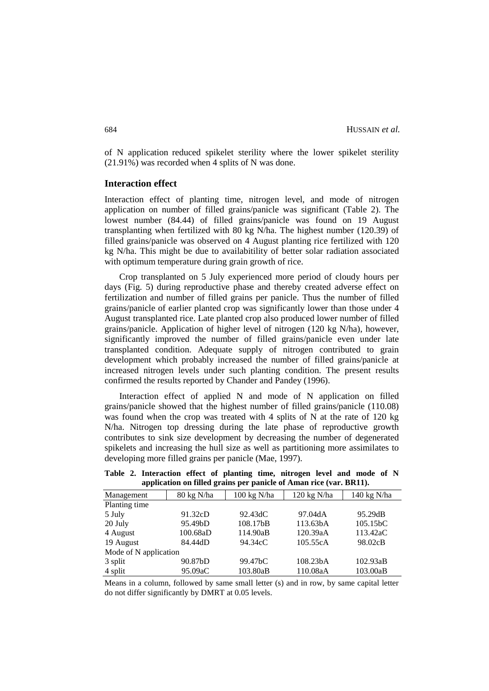of N application reduced spikelet sterility where the lower spikelet sterility (21.91%) was recorded when 4 splits of N was done.

## **Interaction effect**

Interaction effect of planting time, nitrogen level, and mode of nitrogen application on number of filled grains/panicle was significant (Table 2). The lowest number (84.44) of filled grains/panicle was found on 19 August transplanting when fertilized with 80 kg N/ha. The highest number (120.39) of filled grains/panicle was observed on 4 August planting rice fertilized with 120 kg N/ha. This might be due to availabitility of better solar radiation associated with optimum temperature during grain growth of rice.

Crop transplanted on 5 July experienced more period of cloudy hours per days (Fig. 5) during reproductive phase and thereby created adverse effect on fertilization and number of filled grains per panicle. Thus the number of filled grains/panicle of earlier planted crop was significantly lower than those under 4 August transplanted rice. Late planted crop also produced lower number of filled grains/panicle. Application of higher level of nitrogen (120 kg N/ha), however, significantly improved the number of filled grains/panicle even under late transplanted condition. Adequate supply of nitrogen contributed to grain development which probably increased the number of filled grains/panicle at increased nitrogen levels under such planting condition. The present results confirmed the results reported by Chander and Pandey (1996).

Interaction effect of applied N and mode of N application on filled grains/panicle showed that the highest number of filled grains/panicle (110.08) was found when the crop was treated with 4 splits of N at the rate of 120 kg N/ha. Nitrogen top dressing during the late phase of reproductive growth contributes to sink size development by decreasing the number of degenerated spikelets and increasing the hull size as well as partitioning more assimilates to developing more filled grains per panicle (Mae, 1997).

| application on thicu grams per painele of friman fiee (vari bixr1). |            |                       |                       |                       |  |  |  |  |  |  |
|---------------------------------------------------------------------|------------|-----------------------|-----------------------|-----------------------|--|--|--|--|--|--|
| Management                                                          | 80 kg N/ha | $100 \text{ kg}$ N/ha | $120$ kg N/ha         | 140 kg N/ha           |  |  |  |  |  |  |
| Planting time                                                       |            |                       |                       |                       |  |  |  |  |  |  |
| 5 July                                                              | 91.32cD    | 92.43dC               | 97.04dA               | 95.29dB               |  |  |  |  |  |  |
| 20 July                                                             | 95.49bD    | 108.17bB              | 113.63bA              | 105.15 <sub>b</sub> C |  |  |  |  |  |  |
| 4 August                                                            | 100.68aD   | 114.90aB              | 120.39aA              | 113.42aC              |  |  |  |  |  |  |
| 19 August                                                           | 84.44dD    | 94.34cC               | 105.55cA              | 98.02cB               |  |  |  |  |  |  |
| Mode of N application                                               |            |                       |                       |                       |  |  |  |  |  |  |
| 3 split                                                             | 90.87bD    | 99.47 <sub>bC</sub>   | 108.23 <sub>b</sub> A | 102.93aB              |  |  |  |  |  |  |
| 4 split                                                             | 95.09aC    | 103.80aB              | 110.08aA              | 103.00aB              |  |  |  |  |  |  |

**Table 2. Interaction effect of planting time, nitrogen level and mode of N application on filled grains per panicle of Aman rice (var. BR11).**

Means in a column, followed by same small letter (s) and in row, by same capital letter do not differ significantly by DMRT at 0.05 levels.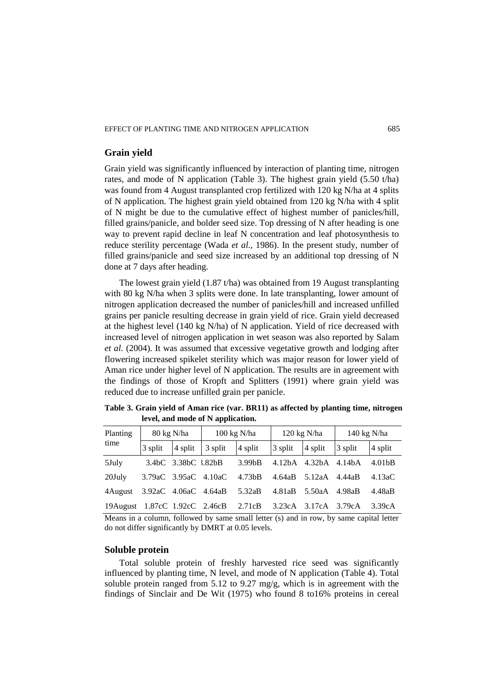# **Grain yield**

Grain yield was significantly influenced by interaction of planting time, nitrogen rates, and mode of N application (Table 3). The highest grain yield (5.50 t/ha) was found from 4 August transplanted crop fertilized with 120 kg N/ha at 4 splits of N application. The highest grain yield obtained from 120 kg N/ha with 4 split of N might be due to the cumulative effect of highest number of panicles/hill, filled grains/panicle, and bolder seed size. Top dressing of N after heading is one way to prevent rapid decline in leaf N concentration and leaf photosynthesis to reduce sterility percentage (Wada *et al.,* 1986). In the present study, number of filled grains/panicle and seed size increased by an additional top dressing of N done at 7 days after heading.

The lowest grain yield (1.87 t/ha) was obtained from 19 August transplanting with 80 kg N/ha when 3 splits were done. In late transplanting, lower amount of nitrogen application decreased the number of panicles/hill and increased unfilled grains per panicle resulting decrease in grain yield of rice. Grain yield decreased at the highest level (140 kg N/ha) of N application. Yield of rice decreased with increased level of nitrogen application in wet season was also reported by Salam *et al.* (2004). It was assumed that excessive vegetative growth and lodging after flowering increased spikelet sterility which was major reason for lower yield of Aman rice under higher level of N application. The results are in agreement with the findings of those of Kropft and Splitters (1991) where grain yield was reduced due to increase unfilled grain per panicle.

| Planting<br>time               | 80 kg N/ha           |                     | $100 \text{ kg N/ha}$ |                     | $120 \text{ kg N/ha}$ |         | $140 \text{ kg}$ N/ha |                     |
|--------------------------------|----------------------|---------------------|-----------------------|---------------------|-----------------------|---------|-----------------------|---------------------|
|                                | 3 split              | $\vert 4$ split     | 3 split               | 4 split             | 3 split               | 4 split | 3 split               | 4 split             |
| 5July                          |                      | 3.4bC 3.38bC 3.82bB |                       | 3.99 <sub>b</sub> B | 4.12 <sub>b</sub> A   | 4.32bA  | 4.14bA                | 4.01 <sub>b</sub> B |
| 20July                         | 3.79aC 3.95aC 4.10aC |                     |                       | 4.73 <sub>b</sub> B | 4.64aB                | 5.12aA  | 4.44aB                | 4.13aC              |
| 4 August                       |                      |                     | 3.92aC 4.06aC 4.64aB  | 5.32aB              | 4.81aB                | 5.50aA  | 4.98aB                | 4.48aB              |
| 19 August 1.87cC 1.92cC 2.46cB |                      |                     |                       | 2.71cB              | 3.23cA                | 3.17cA  | 3.79cA                | 3.39cA              |

**Table 3. Grain yield of Aman rice (var. BR11) as affected by planting time, nitrogen level, and mode of N application.**

Means in a column, followed by same small letter (s) and in row, by same capital letter do not differ significantly by DMRT at 0.05 levels.

# **Soluble protein**

Total soluble protein of freshly harvested rice seed was significantly influenced by planting time, N level, and mode of N application (Table 4). Total soluble protein ranged from 5.12 to 9.27 mg/g, which is in agreement with the findings of Sinclair and De Wit (1975) who found 8 to16% proteins in cereal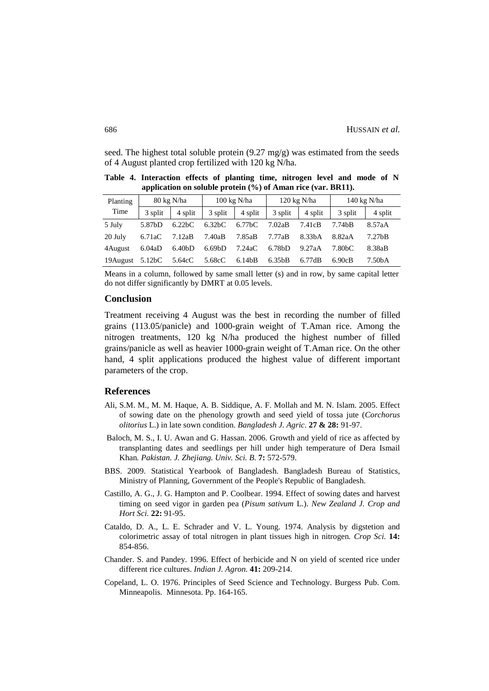seed. The highest total soluble protein  $(9.27 \text{ mg/g})$  was estimated from the seeds of 4 August planted crop fertilized with 120 kg N/ha.

| Planting | $80 \text{ kg}$ N/ha |                     | $100 \text{ kg } N/\text{ha}$ |                     |                     | $120 \text{ kg}$ N/ha | $140 \text{ kg}$ N/ha |                     |
|----------|----------------------|---------------------|-------------------------------|---------------------|---------------------|-----------------------|-----------------------|---------------------|
| Time     | 3 split              | 4 split             | 3 split                       | 4 split             | 3 split             | 4 split               | 3 split               | 4 split             |
| 5 July   | 5.87bD               | 6.22 <sub>b</sub> C | 6.32 <sub>b</sub> C           | 6.77 <sub>b</sub> C | 7.02aB              | 7.41cB                | 7.74bB                | 8.57aA              |
| 20 July  | 6.71aC               | 7.12aB              | 7.40aB                        | 7.85aB              | 7.77aB              | 8.33 <sub>b</sub> A   | 8.82aA                | 7.27 <sub>b</sub> B |
| 4August  | 6.04aD               | 6.40 <sub>b</sub> D | 6.69 <sub>bD</sub>            | 7.24aC              | 6.78 <sub>b</sub> D | 9.27aA                | 7.80 <sub>b</sub> C   | 8.38aB              |
| 19August | 5.12 <sub>b</sub> C  | 5.64cC              | 5.68cC                        | 6.14bB              | 6.35bB              | 6.77dB                | 6.90cB                | 7.50bA              |

**Table 4. Interaction effects of planting time, nitrogen level and mode of N application on soluble protein (%) of Aman rice (var. BR11).**

Means in a column, followed by same small letter (s) and in row, by same capital letter do not differ significantly by DMRT at 0.05 levels.

#### **Conclusion**

Treatment receiving 4 August was the best in recording the number of filled grains (113.05/panicle) and 1000-grain weight of T.Aman rice. Among the nitrogen treatments, 120 kg N/ha produced the highest number of filled grains/panicle as well as heavier 1000-grain weight of T.Aman rice. On the other hand, 4 split applications produced the highest value of different important parameters of the crop.

### **References**

- Ali, S.M. M., M. M. Haque, A. B. Siddique, A. F. Mollah and M. N. Islam. 2005. Effect of sowing date on the phenology growth and seed yield of tossa jute (*Corchorus olitorius* L.) in late sown condition. *Bangladesh J. Agric*. **27 & 28:** 91-97.
- Baloch, M. S., I. U. Awan and G. Hassan. 2006. Growth and yield of rice as affected by transplanting dates and seedlings per hill under high temperature of Dera Ismail Khan*. Pakistan. J. Zhejiang. Univ. Sci. B.* **7:** 572-579.
- BBS. 2009. Statistical Yearbook of Bangladesh. Bangladesh Bureau of Statistics, Ministry of Planning, Government of the People's Republic of Bangladesh.
- Castillo, A. G., J. G. Hampton and P. Coolbear. 1994. Effect of sowing dates and harvest timing on seed vigor in garden pea (*Pisum sativum* L.). *New Zealand J. Crop and Hort Sci.* **22:** 91-95.
- Cataldo, D. A., L. E. Schrader and V. L. Young. 1974. Analysis by digstetion and colorimetric assay of total nitrogen in plant tissues high in nitrogen*. Crop Sci.* **14:** 854-856.
- Chander. S. and Pandey. 1996. Effect of herbicide and N on yield of scented rice under different rice cultures. *Indian J. Agron.* **41:** 209-214.
- Copeland, L. O. 1976. Principles of Seed Science and Technology. Burgess Pub. Com. Minneapolis. Minnesota. Pp. 164-165.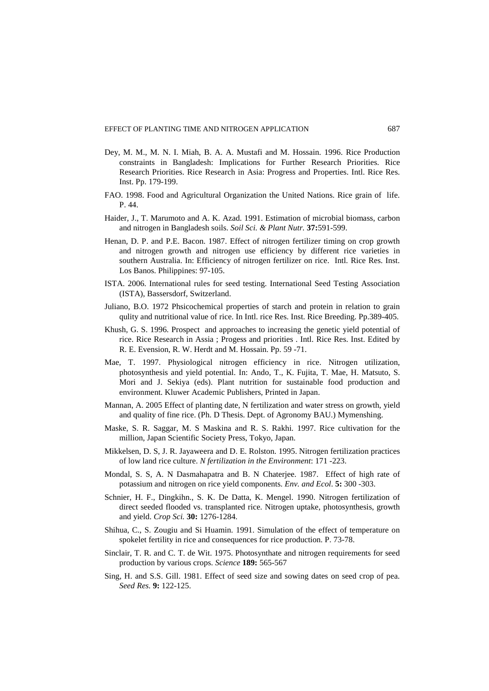- Dey, M. M., M. N. I. Miah, B. A. A. Mustafi and M. Hossain. 1996. Rice Production constraints in Bangladesh: Implications for Further Research Priorities. Rice Research Priorities. Rice Research in Asia: Progress and Properties. Intl. Rice Res. Inst. Pp. 179-199.
- FAO. 1998. Food and Agricultural Organization the United Nations. Rice grain of life. P. 44.
- Haider, J., T. Marumoto and A. K. Azad. 1991. Estimation of microbial biomass, carbon and nitrogen in Bangladesh soils. *Soil Sci. & Plant Nutr.* **37:**591-599.
- Henan, D. P. and P.E. Bacon. 1987. Effect of nitrogen fertilizer timing on crop growth and nitrogen growth and nitrogen use efficiency by different rice varieties in southern Australia. In: Efficiency of nitrogen fertilizer on rice. Intl. Rice Res. Inst. Los Banos. Philippines: 97-105.
- ISTA. 2006. International rules for seed testing. International Seed Testing Association (ISTA), Bassersdorf, Switzerland.
- Juliano, B.O. 1972 Phsicochemical properties of starch and protein in relation to grain qulity and nutritional value of rice. In Intl. rice Res. Inst. Rice Breeding. Pp.389-405.
- Khush, G. S. 1996. Prospect and approaches to increasing the genetic yield potential of rice. Rice Research in Assia ; Progess and priorities . Intl. Rice Res. Inst. Edited by R. E. Evension, R. W. Herdt and M. Hossain. Pp. 59 -71.
- Mae, T. 1997. Physiological nitrogen efficiency in rice. Nitrogen utilization, photosynthesis and yield potential. In: Ando, T., K. Fujita, T. Mae, H. Matsuto, S. Mori and J. Sekiya (eds). Plant nutrition for sustainable food production and environment. Kluwer Academic Publishers, Printed in Japan.
- Mannan, A. 2005 Effect of planting date, N fertilization and water stress on growth, yield and quality of fine rice. (Ph. D Thesis. Dept. of Agronomy BAU.) Mymenshing.
- Maske, S. R. Saggar, M. S Maskina and R. S. Rakhi. 1997. Rice cultivation for the million, Japan Scientific Society Press, Tokyo, Japan.
- Mikkelsen, D. S, J. R. Jayaweera and D. E. Rolston. 1995. Nitrogen fertilization practices of low land rice culture. *N fertilization in the Environment*: 171 -223.
- Mondal, S. S, A. N Dasmahapatra and B. N Chaterjee. 1987. Effect of high rate of potassium and nitrogen on rice yield components. *Env. and Ecol*. **5:** 300 -303.
- Schnier, H. F., Dingkihn., S. K. De Datta, K. Mengel. 1990. Nitrogen fertilization of direct seeded flooded vs. transplanted rice. Nitrogen uptake, photosynthesis, growth and yield. *Crop Sci.* **30:** 1276-1284.
- Shihua, C., S. Zougiu and Si Huamin. 1991. Simulation of the effect of temperature on spokelet fertility in rice and consequences for rice production. P. 73-78.
- Sinclair, T. R. and C. T. de Wit. 1975. Photosynthate and nitrogen requirements for seed production by various crops. *Science* **189:** 565-567
- Sing, H. and S.S. Gill. 1981. Effect of seed size and sowing dates on seed crop of pea. *Seed Res.* **9:** 122-125.